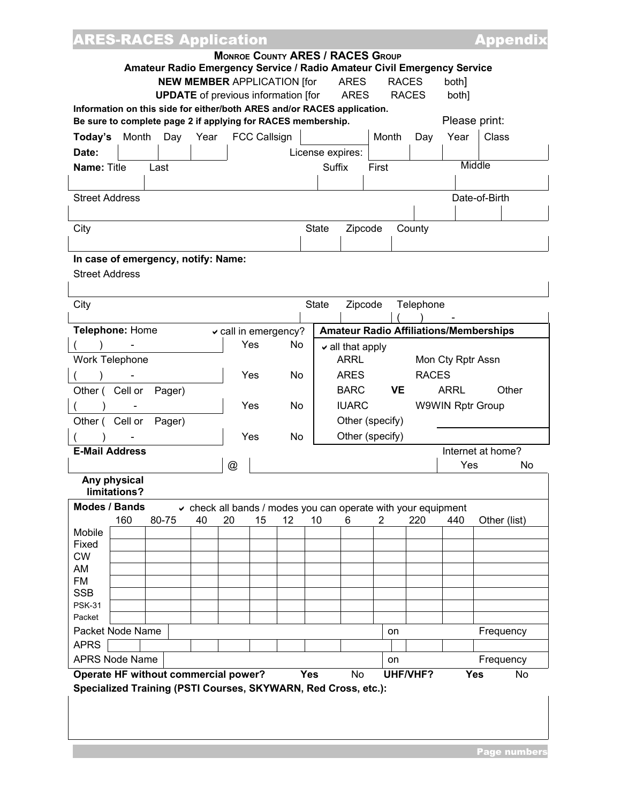| <b>ARES-RACES Application</b>                                           |                                                               |                                               |                  |                                      |       |                 |                   | <u>Appendix</u>                               |    |
|-------------------------------------------------------------------------|---------------------------------------------------------------|-----------------------------------------------|------------------|--------------------------------------|-------|-----------------|-------------------|-----------------------------------------------|----|
|                                                                         | <b>MONROE COUNTY ARES / RACES GROUP</b>                       |                                               |                  |                                      |       |                 |                   |                                               |    |
| Amateur Radio Emergency Service / Radio Amateur Civil Emergency Service |                                                               |                                               |                  |                                      |       |                 |                   |                                               |    |
|                                                                         | <b>NEW MEMBER APPLICATION [for</b>                            |                                               |                  | <b>ARES</b>                          |       | <b>RACES</b>    | both]             |                                               |    |
| <b>UPDATE</b> of previous information [for                              |                                                               |                                               |                  | <b>ARES</b>                          |       | <b>RACES</b>    | both]             |                                               |    |
| Information on this side for either/both ARES and/or RACES application. |                                                               |                                               |                  |                                      |       |                 | Please print:     |                                               |    |
| Be sure to complete page 2 if applying for RACES membership.            |                                                               |                                               |                  |                                      |       |                 |                   |                                               |    |
| Month<br>Year<br>Today's<br>Day                                         | <b>FCC Callsign</b>                                           |                                               |                  |                                      | Month | Day             | Year              | Class                                         |    |
| Date:                                                                   |                                                               |                                               | License expires: |                                      |       |                 |                   | Middle                                        |    |
| <b>Name: Title</b><br>Last                                              |                                                               |                                               | Suffix           |                                      | First |                 |                   |                                               |    |
|                                                                         |                                                               |                                               |                  |                                      |       |                 |                   |                                               |    |
| <b>Street Address</b>                                                   |                                                               |                                               |                  |                                      |       |                 |                   | Date-of-Birth                                 |    |
|                                                                         |                                                               |                                               |                  |                                      |       |                 |                   |                                               |    |
| City                                                                    |                                                               |                                               | <b>State</b>     | Zipcode                              |       | County          |                   |                                               |    |
|                                                                         |                                                               |                                               |                  |                                      |       |                 |                   |                                               |    |
| In case of emergency, notify: Name:                                     |                                                               |                                               |                  |                                      |       |                 |                   |                                               |    |
| <b>Street Address</b>                                                   |                                                               |                                               |                  |                                      |       |                 |                   |                                               |    |
|                                                                         |                                                               |                                               |                  |                                      |       |                 |                   |                                               |    |
| City                                                                    |                                                               |                                               | <b>State</b>     | Zipcode                              |       | Telephone       |                   |                                               |    |
| Telephone: Home                                                         |                                                               |                                               |                  |                                      |       |                 |                   | <b>Amateur Radio Affiliations/Memberships</b> |    |
|                                                                         | call in emergency?<br>Yes                                     | <b>No</b>                                     |                  |                                      |       |                 |                   |                                               |    |
| Work Telephone                                                          |                                                               |                                               |                  | $\vee$ all that apply<br><b>ARRL</b> |       |                 | Mon Cty Rptr Assn |                                               |    |
|                                                                         | Yes                                                           | No                                            |                  | <b>ARES</b>                          |       | <b>RACES</b>    |                   |                                               |    |
| Cell or<br>Other (                                                      |                                                               |                                               |                  | <b>BARC</b>                          |       |                 | <b>ARRL</b>       | Other                                         |    |
| Pager)                                                                  | Yes                                                           | <b>VE</b><br><b>IUARC</b><br>W9WIN Rptr Group |                  |                                      |       |                 |                   |                                               |    |
| Cell or<br>Pager)<br>Other (                                            |                                                               | No                                            |                  |                                      |       |                 |                   |                                               |    |
|                                                                         | Yes                                                           | Other (specify)<br>Other (specify)            |                  |                                      |       |                 |                   |                                               |    |
| <b>E-Mail Address</b>                                                   |                                                               | No                                            |                  |                                      |       |                 |                   | Internet at home?                             |    |
|                                                                         | @                                                             |                                               |                  |                                      |       |                 | Yes               |                                               | No |
| Any physical                                                            |                                                               |                                               |                  |                                      |       |                 |                   |                                               |    |
| limitations?                                                            |                                                               |                                               |                  |                                      |       |                 |                   |                                               |    |
| <b>Modes / Bands</b>                                                    | ↓ check all bands / modes you can operate with your equipment |                                               |                  |                                      |       |                 |                   |                                               |    |
| 160<br>80-75<br>40                                                      | 15<br>20                                                      | 12                                            | 10               | 6                                    | 2     | 220             | 440               | Other (list)                                  |    |
| Mobile<br>Fixed                                                         |                                                               |                                               |                  |                                      |       |                 |                   |                                               |    |
| <b>CW</b>                                                               |                                                               |                                               |                  |                                      |       |                 |                   |                                               |    |
| AM                                                                      |                                                               |                                               |                  |                                      |       |                 |                   |                                               |    |
| <b>FM</b>                                                               |                                                               |                                               |                  |                                      |       |                 |                   |                                               |    |
| <b>SSB</b>                                                              |                                                               |                                               |                  |                                      |       |                 |                   |                                               |    |
| <b>PSK-31</b><br>Packet                                                 |                                                               |                                               |                  |                                      |       |                 |                   |                                               |    |
| Packet Node Name                                                        |                                                               |                                               |                  |                                      | on    |                 |                   | Frequency                                     |    |
| <b>APRS</b>                                                             |                                                               |                                               |                  |                                      |       |                 |                   |                                               |    |
| <b>APRS Node Name</b>                                                   |                                                               |                                               |                  |                                      | on    |                 |                   | Frequency                                     |    |
| Operate HF without commercial power?                                    |                                                               | <b>Yes</b>                                    |                  | <b>No</b>                            |       | <b>UHF/VHF?</b> |                   | <b>Yes</b>                                    | No |
| Specialized Training (PSTI Courses, SKYWARN, Red Cross, etc.):          |                                                               |                                               |                  |                                      |       |                 |                   |                                               |    |
|                                                                         |                                                               |                                               |                  |                                      |       |                 |                   |                                               |    |
|                                                                         |                                                               |                                               |                  |                                      |       |                 |                   |                                               |    |
|                                                                         |                                                               |                                               |                  |                                      |       |                 |                   |                                               |    |